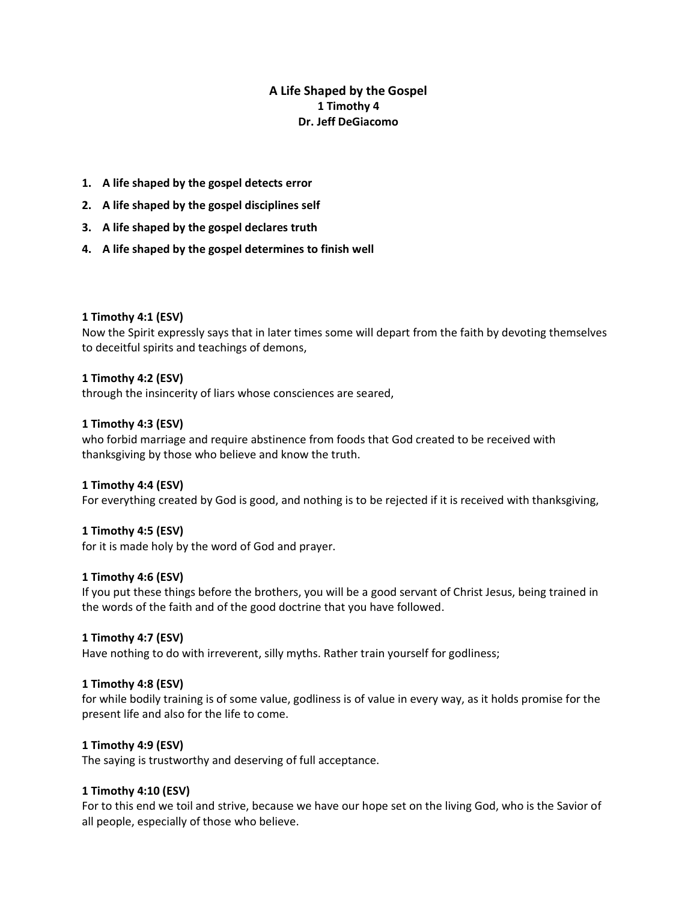# **A Life Shaped by the Gospel 1 Timothy 4 Dr. Jeff DeGiacomo**

- **1. A life shaped by the gospel detects error**
- **2. A life shaped by the gospel disciplines self**
- **3. A life shaped by the gospel declares truth**
- **4. A life shaped by the gospel determines to finish well**

### **1 Timothy 4:1 (ESV)**

Now the Spirit expressly says that in later times some will depart from the faith by devoting themselves to deceitful spirits and teachings of demons,

### **1 Timothy 4:2 (ESV)**

through the insincerity of liars whose consciences are seared,

### **1 Timothy 4:3 (ESV)**

who forbid marriage and require abstinence from foods that God created to be received with thanksgiving by those who believe and know the truth.

#### **1 Timothy 4:4 (ESV)**

For everything created by God is good, and nothing is to be rejected if it is received with thanksgiving,

#### **1 Timothy 4:5 (ESV)**

for it is made holy by the word of God and prayer.

#### **1 Timothy 4:6 (ESV)**

If you put these things before the brothers, you will be a good servant of Christ Jesus, being trained in the words of the faith and of the good doctrine that you have followed.

#### **1 Timothy 4:7 (ESV)**

Have nothing to do with irreverent, silly myths. Rather train yourself for godliness;

#### **1 Timothy 4:8 (ESV)**

for while bodily training is of some value, godliness is of value in every way, as it holds promise for the present life and also for the life to come.

### **1 Timothy 4:9 (ESV)**

The saying is trustworthy and deserving of full acceptance.

## **1 Timothy 4:10 (ESV)**

For to this end we toil and strive, because we have our hope set on the living God, who is the Savior of all people, especially of those who believe.